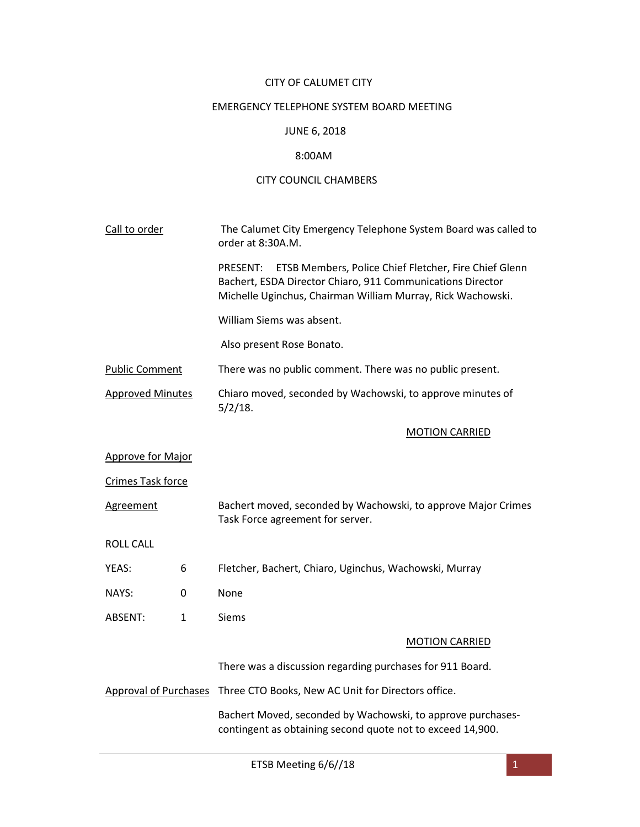# CITY OF CALUMET CITY

# EMERGENCY TELEPHONE SYSTEM BOARD MEETING

#### JUNE 6, 2018

### 8:00AM

# CITY COUNCIL CHAMBERS

| Call to order            |              | The Calumet City Emergency Telephone System Board was called to<br>order at 8:30A.M.                                                                                                                  |
|--------------------------|--------------|-------------------------------------------------------------------------------------------------------------------------------------------------------------------------------------------------------|
|                          |              | ETSB Members, Police Chief Fletcher, Fire Chief Glenn<br><b>PRESENT:</b><br>Bachert, ESDA Director Chiaro, 911 Communications Director<br>Michelle Uginchus, Chairman William Murray, Rick Wachowski. |
|                          |              | William Siems was absent.                                                                                                                                                                             |
|                          |              | Also present Rose Bonato.                                                                                                                                                                             |
| <b>Public Comment</b>    |              | There was no public comment. There was no public present.                                                                                                                                             |
| <b>Approved Minutes</b>  |              | Chiaro moved, seconded by Wachowski, to approve minutes of<br>$5/2/18$ .                                                                                                                              |
|                          |              | <b>MOTION CARRIED</b>                                                                                                                                                                                 |
| <b>Approve for Major</b> |              |                                                                                                                                                                                                       |
| <b>Crimes Task force</b> |              |                                                                                                                                                                                                       |
| <b>Agreement</b>         |              | Bachert moved, seconded by Wachowski, to approve Major Crimes<br>Task Force agreement for server.                                                                                                     |
| <b>ROLL CALL</b>         |              |                                                                                                                                                                                                       |
| YEAS:                    | 6            | Fletcher, Bachert, Chiaro, Uginchus, Wachowski, Murray                                                                                                                                                |
| NAYS:                    | 0            | None                                                                                                                                                                                                  |
| ABSENT:                  | $\mathbf{1}$ | <b>Siems</b>                                                                                                                                                                                          |
|                          |              | <b>MOTION CARRIED</b>                                                                                                                                                                                 |
|                          |              | There was a discussion regarding purchases for 911 Board.                                                                                                                                             |
|                          |              | Approval of Purchases Three CTO Books, New AC Unit for Directors office.                                                                                                                              |
|                          |              | Bachert Moved, seconded by Wachowski, to approve purchases-<br>contingent as obtaining second quote not to exceed 14,900.                                                                             |